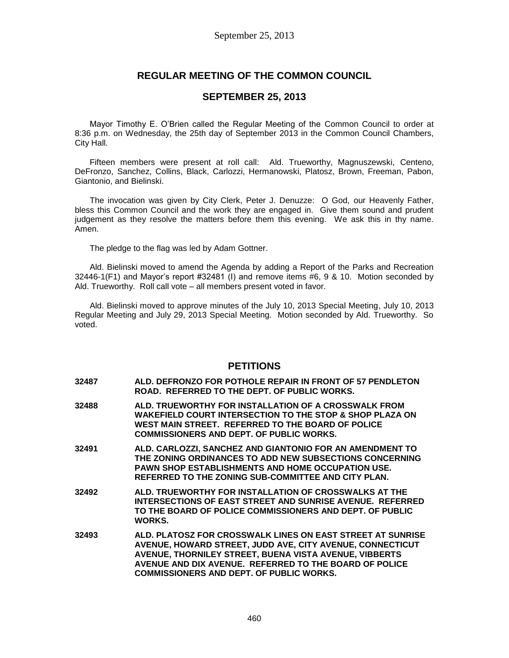# **REGULAR MEETING OF THE COMMON COUNCIL**

## **SEPTEMBER 25, 2013**

Mayor Timothy E. O'Brien called the Regular Meeting of the Common Council to order at 8:36 p.m. on Wednesday, the 25th day of September 2013 in the Common Council Chambers, City Hall.

Fifteen members were present at roll call: Ald. Trueworthy, Magnuszewski, Centeno, DeFronzo, Sanchez, Collins, Black, Carlozzi, Hermanowski, Platosz, Brown, Freeman, Pabon, Giantonio, and Bielinski.

The invocation was given by City Clerk, Peter J. Denuzze: O God, our Heavenly Father, bless this Common Council and the work they are engaged in. Give them sound and prudent judgement as they resolve the matters before them this evening. We ask this in thy name. Amen.

The pledge to the flag was led by Adam Gottner.

Ald. Bielinski moved to amend the Agenda by adding a Report of the Parks and Recreation 32446-1(F1) and Mayor's report #32481 (I) and remove items #6, 9 & 10. Motion seconded by Ald. Trueworthy. Roll call vote – all members present voted in favor.

Ald. Bielinski moved to approve minutes of the July 10, 2013 Special Meeting, July 10, 2013 Regular Meeting and July 29, 2013 Special Meeting. Motion seconded by Ald. Trueworthy. So voted.

## **PETITIONS**

- **32487 ALD. DEFRONZO FOR POTHOLE REPAIR IN FRONT OF 57 PENDLETON ROAD. REFERRED TO THE DEPT. OF PUBLIC WORKS.**
- **32488 ALD. TRUEWORTHY FOR INSTALLATION OF A CROSSWALK FROM WAKEFIELD COURT INTERSECTION TO THE STOP & SHOP PLAZA ON WEST MAIN STREET. REFERRED TO THE BOARD OF POLICE COMMISSIONERS AND DEPT. OF PUBLIC WORKS.**
- **32491 ALD. CARLOZZI, SANCHEZ AND GIANTONIO FOR AN AMENDMENT TO THE ZONING ORDINANCES TO ADD NEW SUBSECTIONS CONCERNING PAWN SHOP ESTABLISHMENTS AND HOME OCCUPATION USE. REFERRED TO THE ZONING SUB-COMMITTEE AND CITY PLAN.**
- **32492 ALD. TRUEWORTHY FOR INSTALLATION OF CROSSWALKS AT THE INTERSECTIONS OF EAST STREET AND SUNRISE AVENUE. REFERRED TO THE BOARD OF POLICE COMMISSIONERS AND DEPT. OF PUBLIC WORKS.**
- **32493 ALD. PLATOSZ FOR CROSSWALK LINES ON EAST STREET AT SUNRISE AVENUE, HOWARD STREET, JUDD AVE, CITY AVENUE, CONNECTICUT AVENUE, THORNILEY STREET, BUENA VISTA AVENUE, VIBBERTS AVENUE AND DIX AVENUE. REFERRED TO THE BOARD OF POLICE COMMISSIONERS AND DEPT. OF PUBLIC WORKS.**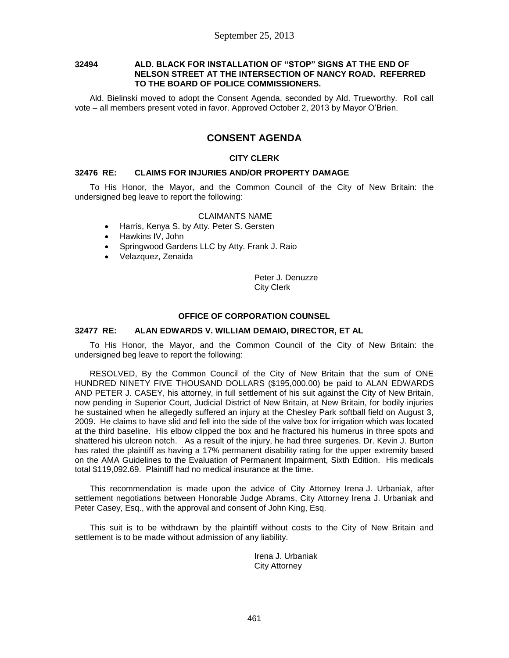### **32494 ALD. BLACK FOR INSTALLATION OF "STOP" SIGNS AT THE END OF NELSON STREET AT THE INTERSECTION OF NANCY ROAD. REFERRED TO THE BOARD OF POLICE COMMISSIONERS.**

Ald. Bielinski moved to adopt the Consent Agenda, seconded by Ald. Trueworthy. Roll call vote – all members present voted in favor. Approved October 2, 2013 by Mayor O'Brien.

# **CONSENT AGENDA**

### **CITY CLERK**

### **32476 RE: CLAIMS FOR INJURIES AND/OR PROPERTY DAMAGE**

To His Honor, the Mayor, and the Common Council of the City of New Britain: the undersigned beg leave to report the following:

### CLAIMANTS NAME

- Harris, Kenya S. by Atty. Peter S. Gersten
- Hawkins IV, John
- Springwood Gardens LLC by Atty. Frank J. Raio
- Velazquez, Zenaida

Peter J. Denuzze City Clerk

#### **OFFICE OF CORPORATION COUNSEL**

### **32477 RE: ALAN EDWARDS V. WILLIAM DEMAIO, DIRECTOR, ET AL**

To His Honor, the Mayor, and the Common Council of the City of New Britain: the undersigned beg leave to report the following:

RESOLVED, By the Common Council of the City of New Britain that the sum of ONE HUNDRED NINETY FIVE THOUSAND DOLLARS (\$195,000.00) be paid to ALAN EDWARDS AND PETER J. CASEY, his attorney, in full settlement of his suit against the City of New Britain, now pending in Superior Court, Judicial District of New Britain, at New Britain, for bodily injuries he sustained when he allegedly suffered an injury at the Chesley Park softball field on August 3, 2009. He claims to have slid and fell into the side of the valve box for irrigation which was located at the third baseline. His elbow clipped the box and he fractured his humerus in three spots and shattered his ulcreon notch. As a result of the injury, he had three surgeries. Dr. Kevin J. Burton has rated the plaintiff as having a 17% permanent disability rating for the upper extremity based on the AMA Guidelines to the Evaluation of Permanent Impairment, Sixth Edition. His medicals total \$119,092.69. Plaintiff had no medical insurance at the time.

This recommendation is made upon the advice of City Attorney Irena J. Urbaniak, after settlement negotiations between Honorable Judge Abrams, City Attorney Irena J. Urbaniak and Peter Casey, Esq., with the approval and consent of John King, Esq.

This suit is to be withdrawn by the plaintiff without costs to the City of New Britain and settlement is to be made without admission of any liability.

> Irena J. Urbaniak City Attorney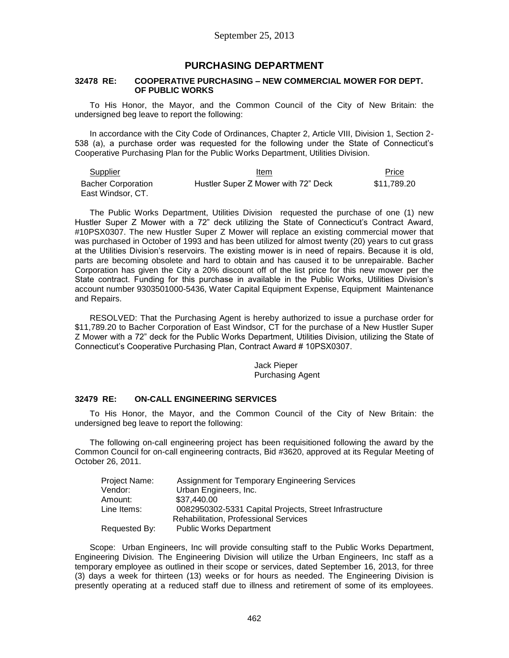## **PURCHASING DEPARTMENT**

#### **32478 RE: COOPERATIVE PURCHASING – NEW COMMERCIAL MOWER FOR DEPT. OF PUBLIC WORKS**

To His Honor, the Mayor, and the Common Council of the City of New Britain: the undersigned beg leave to report the following:

In accordance with the City Code of Ordinances, Chapter 2, Article VIII, Division 1, Section 2- 538 (a), a purchase order was requested for the following under the State of Connecticut's Cooperative Purchasing Plan for the Public Works Department, Utilities Division.

| <b>Supplier</b>                                | Item                                | Price       |
|------------------------------------------------|-------------------------------------|-------------|
| <b>Bacher Corporation</b><br>East Windsor, CT. | Hustler Super Z Mower with 72" Deck | \$11,789.20 |

The Public Works Department, Utilities Division requested the purchase of one (1) new Hustler Super Z Mower with a 72" deck utilizing the State of Connecticut's Contract Award, #10PSX0307. The new Hustler Super Z Mower will replace an existing commercial mower that was purchased in October of 1993 and has been utilized for almost twenty (20) years to cut grass at the Utilities Division's reservoirs. The existing mower is in need of repairs. Because it is old, parts are becoming obsolete and hard to obtain and has caused it to be unrepairable. Bacher Corporation has given the City a 20% discount off of the list price for this new mower per the State contract. Funding for this purchase in available in the Public Works, Utilities Division's account number 9303501000-5436, Water Capital Equipment Expense, Equipment Maintenance and Repairs.

RESOLVED: That the Purchasing Agent is hereby authorized to issue a purchase order for \$11,789.20 to Bacher Corporation of East Windsor, CT for the purchase of a New Hustler Super Z Mower with a 72" deck for the Public Works Department, Utilities Division, utilizing the State of Connecticut's Cooperative Purchasing Plan, Contract Award # 10PSX0307.

> Jack Pieper Purchasing Agent

### **32479 RE: ON-CALL ENGINEERING SERVICES**

To His Honor, the Mayor, and the Common Council of the City of New Britain: the undersigned beg leave to report the following:

The following on-call engineering project has been requisitioned following the award by the Common Council for on-call engineering contracts, Bid #3620, approved at its Regular Meeting of October 26, 2011.

| Project Name: | <b>Assignment for Temporary Engineering Services</b>    |
|---------------|---------------------------------------------------------|
| Vendor:       | Urban Engineers, Inc.                                   |
| Amount:       | \$37,440.00                                             |
| Line Items:   | 0082950302-5331 Capital Projects, Street Infrastructure |
|               | <b>Rehabilitation, Professional Services</b>            |
| Requested By: | <b>Public Works Department</b>                          |

Scope: Urban Engineers, Inc will provide consulting staff to the Public Works Department, Engineering Division. The Engineering Division will utilize the Urban Engineers, Inc staff as a temporary employee as outlined in their scope or services, dated September 16, 2013, for three (3) days a week for thirteen (13) weeks or for hours as needed. The Engineering Division is presently operating at a reduced staff due to illness and retirement of some of its employees.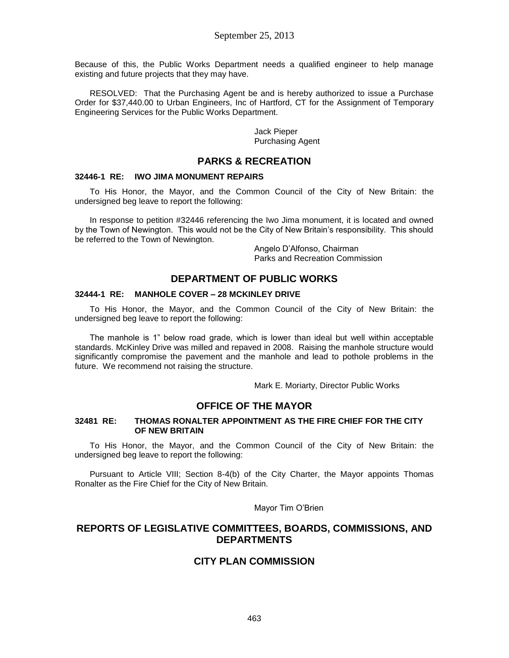Because of this, the Public Works Department needs a qualified engineer to help manage existing and future projects that they may have.

RESOLVED: That the Purchasing Agent be and is hereby authorized to issue a Purchase Order for \$37,440.00 to Urban Engineers, Inc of Hartford, CT for the Assignment of Temporary Engineering Services for the Public Works Department.

> Jack Pieper Purchasing Agent

## **PARKS & RECREATION**

### **32446-1 RE: IWO JIMA MONUMENT REPAIRS**

To His Honor, the Mayor, and the Common Council of the City of New Britain: the undersigned beg leave to report the following:

In response to petition #32446 referencing the Iwo Jima monument, it is located and owned by the Town of Newington. This would not be the City of New Britain's responsibility. This should be referred to the Town of Newington.

> Angelo D'Alfonso, Chairman Parks and Recreation Commission

# **DEPARTMENT OF PUBLIC WORKS**

### **32444-1 RE: MANHOLE COVER – 28 MCKINLEY DRIVE**

To His Honor, the Mayor, and the Common Council of the City of New Britain: the undersigned beg leave to report the following:

The manhole is 1" below road grade, which is lower than ideal but well within acceptable standards. McKinley Drive was milled and repaved in 2008. Raising the manhole structure would significantly compromise the pavement and the manhole and lead to pothole problems in the future. We recommend not raising the structure.

Mark E. Moriarty, Director Public Works

# **OFFICE OF THE MAYOR**

### **32481 RE: THOMAS RONALTER APPOINTMENT AS THE FIRE CHIEF FOR THE CITY OF NEW BRITAIN**

To His Honor, the Mayor, and the Common Council of the City of New Britain: the undersigned beg leave to report the following:

Pursuant to Article VIII; Section 8-4(b) of the City Charter, the Mayor appoints Thomas Ronalter as the Fire Chief for the City of New Britain.

Mayor Tim O'Brien

# **REPORTS OF LEGISLATIVE COMMITTEES, BOARDS, COMMISSIONS, AND DEPARTMENTS**

# **CITY PLAN COMMISSION**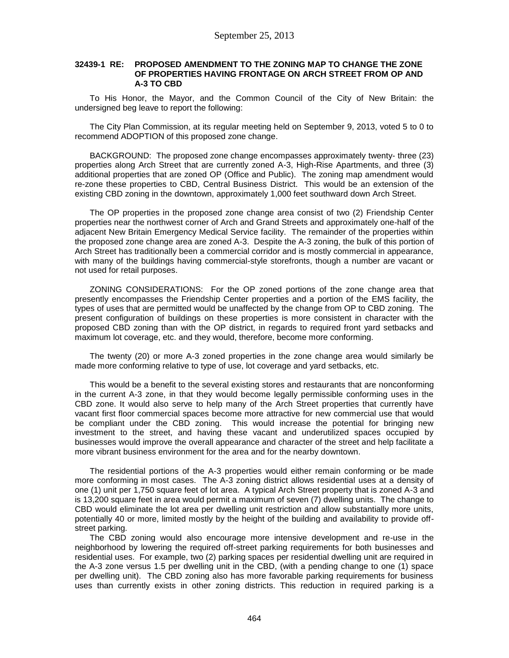### **32439-1 RE: PROPOSED AMENDMENT TO THE ZONING MAP TO CHANGE THE ZONE OF PROPERTIES HAVING FRONTAGE ON ARCH STREET FROM OP AND A-3 TO CBD**

To His Honor, the Mayor, and the Common Council of the City of New Britain: the undersigned beg leave to report the following:

The City Plan Commission, at its regular meeting held on September 9, 2013, voted 5 to 0 to recommend ADOPTION of this proposed zone change.

BACKGROUND: The proposed zone change encompasses approximately twenty- three (23) properties along Arch Street that are currently zoned A-3, High-Rise Apartments, and three (3) additional properties that are zoned OP (Office and Public). The zoning map amendment would re-zone these properties to CBD, Central Business District. This would be an extension of the existing CBD zoning in the downtown, approximately 1,000 feet southward down Arch Street.

The OP properties in the proposed zone change area consist of two (2) Friendship Center properties near the northwest corner of Arch and Grand Streets and approximately one-half of the adjacent New Britain Emergency Medical Service facility. The remainder of the properties within the proposed zone change area are zoned A-3. Despite the A-3 zoning, the bulk of this portion of Arch Street has traditionally been a commercial corridor and is mostly commercial in appearance, with many of the buildings having commercial-style storefronts, though a number are vacant or not used for retail purposes.

ZONING CONSIDERATIONS: For the OP zoned portions of the zone change area that presently encompasses the Friendship Center properties and a portion of the EMS facility, the types of uses that are permitted would be unaffected by the change from OP to CBD zoning. The present configuration of buildings on these properties is more consistent in character with the proposed CBD zoning than with the OP district, in regards to required front yard setbacks and maximum lot coverage, etc. and they would, therefore, become more conforming.

The twenty (20) or more A-3 zoned properties in the zone change area would similarly be made more conforming relative to type of use, lot coverage and yard setbacks, etc.

This would be a benefit to the several existing stores and restaurants that are nonconforming in the current A-3 zone, in that they would become legally permissible conforming uses in the CBD zone. It would also serve to help many of the Arch Street properties that currently have vacant first floor commercial spaces become more attractive for new commercial use that would be compliant under the CBD zoning. This would increase the potential for bringing new investment to the street, and having these vacant and underutilized spaces occupied by businesses would improve the overall appearance and character of the street and help facilitate a more vibrant business environment for the area and for the nearby downtown.

The residential portions of the A-3 properties would either remain conforming or be made more conforming in most cases. The A-3 zoning district allows residential uses at a density of one (1) unit per 1,750 square feet of lot area. A typical Arch Street property that is zoned A-3 and is 13,200 square feet in area would permit a maximum of seven (7) dwelling units. The change to CBD would eliminate the lot area per dwelling unit restriction and allow substantially more units, potentially 40 or more, limited mostly by the height of the building and availability to provide offstreet parking.

The CBD zoning would also encourage more intensive development and re-use in the neighborhood by lowering the required off-street parking requirements for both businesses and residential uses. For example, two (2) parking spaces per residential dwelling unit are required in the A-3 zone versus 1.5 per dwelling unit in the CBD, (with a pending change to one (1) space per dwelling unit). The CBD zoning also has more favorable parking requirements for business uses than currently exists in other zoning districts. This reduction in required parking is a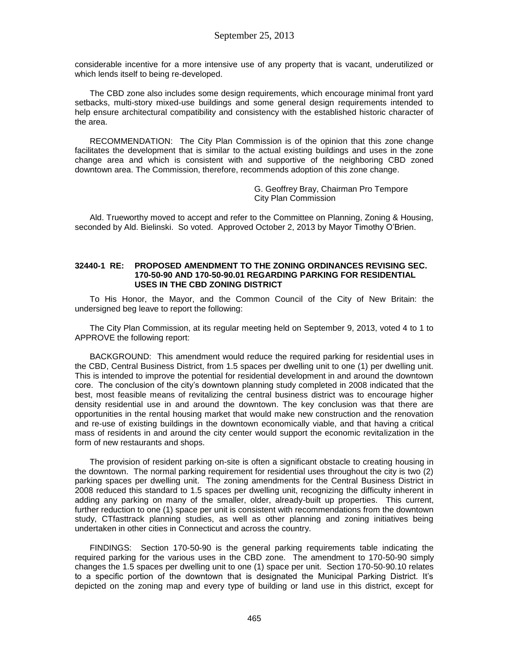considerable incentive for a more intensive use of any property that is vacant, underutilized or which lends itself to being re-developed.

The CBD zone also includes some design requirements, which encourage minimal front yard setbacks, multi-story mixed-use buildings and some general design requirements intended to help ensure architectural compatibility and consistency with the established historic character of the area.

RECOMMENDATION: The City Plan Commission is of the opinion that this zone change facilitates the development that is similar to the actual existing buildings and uses in the zone change area and which is consistent with and supportive of the neighboring CBD zoned downtown area. The Commission, therefore, recommends adoption of this zone change.

> G. Geoffrey Bray, Chairman Pro Tempore City Plan Commission

Ald. Trueworthy moved to accept and refer to the Committee on Planning, Zoning & Housing, seconded by Ald. Bielinski. So voted. Approved October 2, 2013 by Mayor Timothy O'Brien.

#### **32440-1 RE: PROPOSED AMENDMENT TO THE ZONING ORDINANCES REVISING SEC. 170-50-90 AND 170-50-90.01 REGARDING PARKING FOR RESIDENTIAL USES IN THE CBD ZONING DISTRICT**

To His Honor, the Mayor, and the Common Council of the City of New Britain: the undersigned beg leave to report the following:

The City Plan Commission, at its regular meeting held on September 9, 2013, voted 4 to 1 to APPROVE the following report:

BACKGROUND: This amendment would reduce the required parking for residential uses in the CBD, Central Business District, from 1.5 spaces per dwelling unit to one (1) per dwelling unit. This is intended to improve the potential for residential development in and around the downtown core. The conclusion of the city's downtown planning study completed in 2008 indicated that the best, most feasible means of revitalizing the central business district was to encourage higher density residential use in and around the downtown. The key conclusion was that there are opportunities in the rental housing market that would make new construction and the renovation and re-use of existing buildings in the downtown economically viable, and that having a critical mass of residents in and around the city center would support the economic revitalization in the form of new restaurants and shops.

The provision of resident parking on-site is often a significant obstacle to creating housing in the downtown. The normal parking requirement for residential uses throughout the city is two (2) parking spaces per dwelling unit. The zoning amendments for the Central Business District in 2008 reduced this standard to 1.5 spaces per dwelling unit, recognizing the difficulty inherent in adding any parking on many of the smaller, older, already-built up properties. This current, further reduction to one (1) space per unit is consistent with recommendations from the downtown study, CTfasttrack planning studies, as well as other planning and zoning initiatives being undertaken in other cities in Connecticut and across the country.

FINDINGS: Section 170-50-90 is the general parking requirements table indicating the required parking for the various uses in the CBD zone. The amendment to 170-50-90 simply changes the 1.5 spaces per dwelling unit to one (1) space per unit. Section 170-50-90.10 relates to a specific portion of the downtown that is designated the Municipal Parking District. It's depicted on the zoning map and every type of building or land use in this district, except for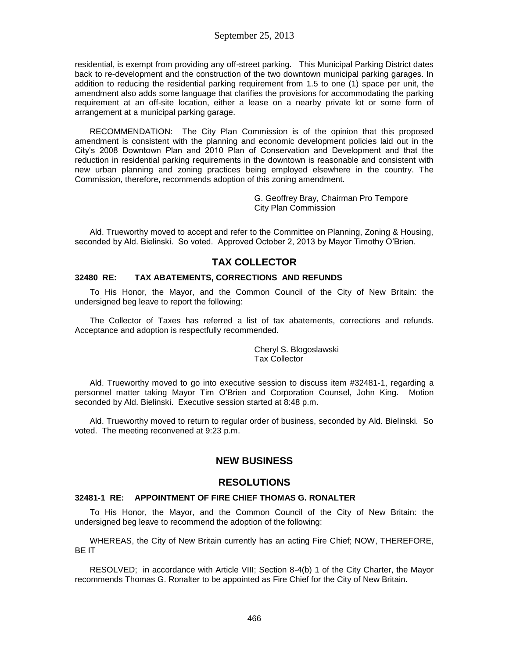residential, is exempt from providing any off-street parking. This Municipal Parking District dates back to re-development and the construction of the two downtown municipal parking garages. In addition to reducing the residential parking requirement from 1.5 to one (1) space per unit, the amendment also adds some language that clarifies the provisions for accommodating the parking requirement at an off-site location, either a lease on a nearby private lot or some form of arrangement at a municipal parking garage.

RECOMMENDATION: The City Plan Commission is of the opinion that this proposed amendment is consistent with the planning and economic development policies laid out in the City's 2008 Downtown Plan and 2010 Plan of Conservation and Development and that the reduction in residential parking requirements in the downtown is reasonable and consistent with new urban planning and zoning practices being employed elsewhere in the country. The Commission, therefore, recommends adoption of this zoning amendment.

> G. Geoffrey Bray, Chairman Pro Tempore City Plan Commission

Ald. Trueworthy moved to accept and refer to the Committee on Planning, Zoning & Housing, seconded by Ald. Bielinski. So voted. Approved October 2, 2013 by Mayor Timothy O'Brien.

# **TAX COLLECTOR**

### **32480 RE: TAX ABATEMENTS, CORRECTIONS AND REFUNDS**

To His Honor, the Mayor, and the Common Council of the City of New Britain: the undersigned beg leave to report the following:

The Collector of Taxes has referred a list of tax abatements, corrections and refunds. Acceptance and adoption is respectfully recommended.

> Cheryl S. Blogoslawski Tax Collector

Ald. Trueworthy moved to go into executive session to discuss item #32481-1, regarding a personnel matter taking Mayor Tim O'Brien and Corporation Counsel, John King. Motion seconded by Ald. Bielinski. Executive session started at 8:48 p.m.

Ald. Trueworthy moved to return to regular order of business, seconded by Ald. Bielinski. So voted. The meeting reconvened at 9:23 p.m.

# **NEW BUSINESS**

# **RESOLUTIONS**

### **32481-1 RE: APPOINTMENT OF FIRE CHIEF THOMAS G. RONALTER**

To His Honor, the Mayor, and the Common Council of the City of New Britain: the undersigned beg leave to recommend the adoption of the following:

WHEREAS, the City of New Britain currently has an acting Fire Chief; NOW, THEREFORE, BE IT

RESOLVED; in accordance with Article VIII; Section 8-4(b) 1 of the City Charter, the Mayor recommends Thomas G. Ronalter to be appointed as Fire Chief for the City of New Britain.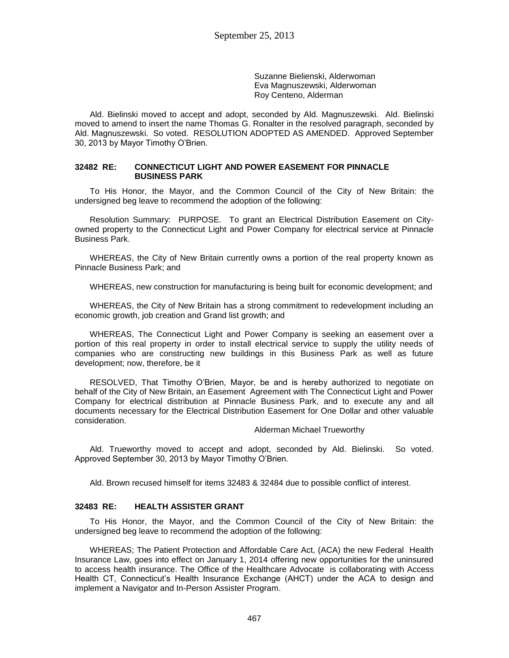Suzanne Bielienski, Alderwoman Eva Magnuszewski, Alderwoman Roy Centeno, Alderman

Ald. Bielinski moved to accept and adopt, seconded by Ald. Magnuszewski. Ald. Bielinski moved to amend to insert the name Thomas G. Ronalter in the resolved paragraph, seconded by Ald. Magnuszewski. So voted. RESOLUTION ADOPTED AS AMENDED. Approved September 30, 2013 by Mayor Timothy O'Brien.

#### **32482 RE: CONNECTICUT LIGHT AND POWER EASEMENT FOR PINNACLE BUSINESS PARK**

To His Honor, the Mayor, and the Common Council of the City of New Britain: the undersigned beg leave to recommend the adoption of the following:

Resolution Summary: PURPOSE. To grant an Electrical Distribution Easement on Cityowned property to the Connecticut Light and Power Company for electrical service at Pinnacle Business Park.

WHEREAS, the City of New Britain currently owns a portion of the real property known as Pinnacle Business Park; and

WHEREAS, new construction for manufacturing is being built for economic development; and

WHEREAS, the City of New Britain has a strong commitment to redevelopment including an economic growth, job creation and Grand list growth; and

WHEREAS, The Connecticut Light and Power Company is seeking an easement over a portion of this real property in order to install electrical service to supply the utility needs of companies who are constructing new buildings in this Business Park as well as future development; now, therefore, be it

RESOLVED, That Timothy O'Brien, Mayor, be and is hereby authorized to negotiate on behalf of the City of New Britain, an Easement Agreement with The Connecticut Light and Power Company for electrical distribution at Pinnacle Business Park, and to execute any and all documents necessary for the Electrical Distribution Easement for One Dollar and other valuable consideration.

#### Alderman Michael Trueworthy

Ald. Trueworthy moved to accept and adopt, seconded by Ald. Bielinski. So voted. Approved September 30, 2013 by Mayor Timothy O'Brien.

Ald. Brown recused himself for items 32483 & 32484 due to possible conflict of interest.

## **32483 RE: HEALTH ASSISTER GRANT**

To His Honor, the Mayor, and the Common Council of the City of New Britain: the undersigned beg leave to recommend the adoption of the following:

WHEREAS; The Patient Protection and Affordable Care Act, (ACA) the new Federal Health Insurance Law, goes into effect on January 1, 2014 offering new opportunities for the uninsured to access health insurance. The Office of the Healthcare Advocate is collaborating with Access Health CT, Connecticut's Health Insurance Exchange (AHCT) under the ACA to design and implement a Navigator and In-Person Assister Program.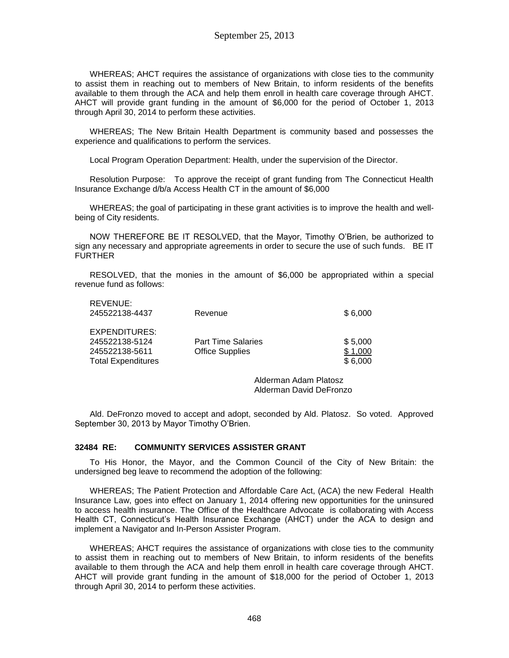WHEREAS; AHCT requires the assistance of organizations with close ties to the community to assist them in reaching out to members of New Britain, to inform residents of the benefits available to them through the ACA and help them enroll in health care coverage through AHCT. AHCT will provide grant funding in the amount of \$6,000 for the period of October 1, 2013 through April 30, 2014 to perform these activities.

WHEREAS; The New Britain Health Department is community based and possesses the experience and qualifications to perform the services.

Local Program Operation Department: Health, under the supervision of the Director.

Resolution Purpose: To approve the receipt of grant funding from The Connecticut Health Insurance Exchange d/b/a Access Health CT in the amount of \$6,000

WHEREAS; the goal of participating in these grant activities is to improve the health and wellbeing of City residents.

NOW THEREFORE BE IT RESOLVED, that the Mayor, Timothy O'Brien, be authorized to sign any necessary and appropriate agreements in order to secure the use of such funds. BE IT **FURTHER** 

RESOLVED, that the monies in the amount of \$6,000 be appropriated within a special revenue fund as follows:

| 1 \ L V L I YU L .<br>245522138-4437 | Revenue                   | \$6,000 |
|--------------------------------------|---------------------------|---------|
| EXPENDITURES:                        |                           |         |
| 245522138-5124                       | <b>Part Time Salaries</b> | \$5,000 |
| 245522138-5611                       | <b>Office Supplies</b>    | \$1.000 |
| <b>Total Expenditures</b>            |                           | \$6,000 |
|                                      |                           |         |

Alderman Adam Platosz Alderman David DeFronzo

Ald. DeFronzo moved to accept and adopt, seconded by Ald. Platosz. So voted. Approved September 30, 2013 by Mayor Timothy O'Brien.

### **32484 RE: COMMUNITY SERVICES ASSISTER GRANT**

REVENUE:

To His Honor, the Mayor, and the Common Council of the City of New Britain: the undersigned beg leave to recommend the adoption of the following:

WHEREAS; The Patient Protection and Affordable Care Act, (ACA) the new Federal Health Insurance Law, goes into effect on January 1, 2014 offering new opportunities for the uninsured to access health insurance. The Office of the Healthcare Advocate is collaborating with Access Health CT, Connecticut's Health Insurance Exchange (AHCT) under the ACA to design and implement a Navigator and In-Person Assister Program.

WHEREAS; AHCT requires the assistance of organizations with close ties to the community to assist them in reaching out to members of New Britain, to inform residents of the benefits available to them through the ACA and help them enroll in health care coverage through AHCT. AHCT will provide grant funding in the amount of \$18,000 for the period of October 1, 2013 through April 30, 2014 to perform these activities.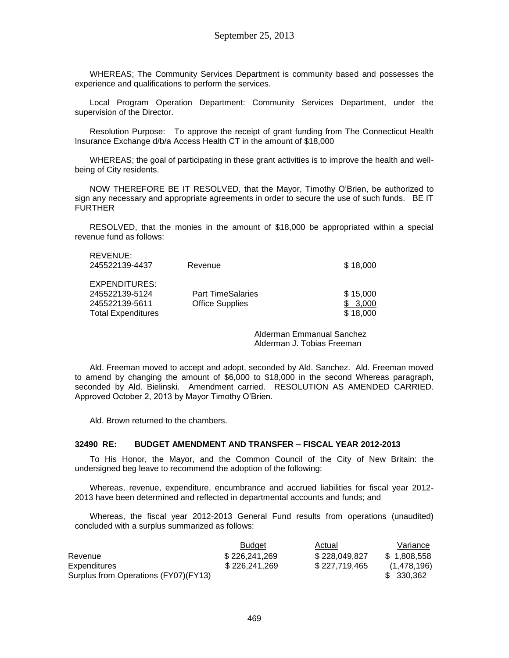WHEREAS; The Community Services Department is community based and possesses the experience and qualifications to perform the services.

Local Program Operation Department: Community Services Department, under the supervision of the Director.

Resolution Purpose: To approve the receipt of grant funding from The Connecticut Health Insurance Exchange d/b/a Access Health CT in the amount of \$18,000

WHEREAS; the goal of participating in these grant activities is to improve the health and wellbeing of City residents.

NOW THEREFORE BE IT RESOLVED, that the Mayor, Timothy O'Brien, be authorized to sign any necessary and appropriate agreements in order to secure the use of such funds. BE IT FURTHER

RESOLVED, that the monies in the amount of \$18,000 be appropriated within a special revenue fund as follows:

| REVENUE:<br>245522139-4437 | Revenue                  | \$18,000 |
|----------------------------|--------------------------|----------|
| EXPENDITURES:              |                          |          |
| 245522139-5124             | <b>Part TimeSalaries</b> | \$15,000 |
| 245522139-5611             | <b>Office Supplies</b>   | 3.000    |
| <b>Total Expenditures</b>  |                          | \$18,000 |

Alderman Emmanual Sanchez Alderman J. Tobias Freeman

Ald. Freeman moved to accept and adopt, seconded by Ald. Sanchez. Ald. Freeman moved to amend by changing the amount of \$6,000 to \$18,000 in the second Whereas paragraph, seconded by Ald. Bielinski. Amendment carried. RESOLUTION AS AMENDED CARRIED. Approved October 2, 2013 by Mayor Timothy O'Brien.

Ald. Brown returned to the chambers.

#### **32490 RE: BUDGET AMENDMENT AND TRANSFER – FISCAL YEAR 2012-2013**

To His Honor, the Mayor, and the Common Council of the City of New Britain: the undersigned beg leave to recommend the adoption of the following:

Whereas, revenue, expenditure, encumbrance and accrued liabilities for fiscal year 2012- 2013 have been determined and reflected in departmental accounts and funds; and

Whereas, the fiscal year 2012-2013 General Fund results from operations (unaudited) concluded with a surplus summarized as follows:

|                                      | <b>Budget</b> | Actual        | Variance    |
|--------------------------------------|---------------|---------------|-------------|
| Revenue                              | \$226.241.269 | \$228,049,827 | \$1.808.558 |
| <b>Expenditures</b>                  | \$226,241,269 | \$227,719,465 | (1,478,196) |
| Surplus from Operations (FY07)(FY13) |               |               | \$ 330,362  |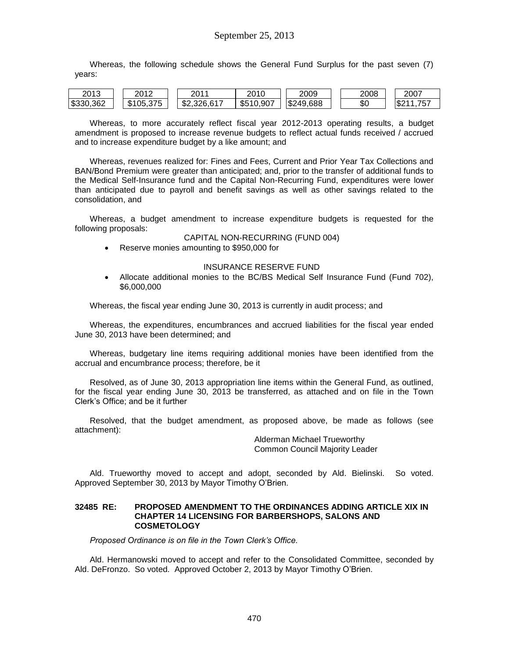Whereas, the following schedule shows the General Fund Surplus for the past seven (7) years:

| 2013      | ∩∧ח                        | nn 1        | 2010      | 2009              | 2008      | 2007                    |
|-----------|----------------------------|-------------|-----------|-------------------|-----------|-------------------------|
| \$330,362 | 375<br>105.375<br>ـ ـ<br>Ф | \$2,326,617 | \$510,907 | \$249,688<br>' w∠ | ጦጣ<br>᠊᠊᠉ | <b>S2</b><br>757<br>. . |

Whereas, to more accurately reflect fiscal year 2012-2013 operating results, a budget amendment is proposed to increase revenue budgets to reflect actual funds received / accrued and to increase expenditure budget by a like amount; and

Whereas, revenues realized for: Fines and Fees, Current and Prior Year Tax Collections and BAN/Bond Premium were greater than anticipated; and, prior to the transfer of additional funds to the Medical Self-Insurance fund and the Capital Non-Recurring Fund, expenditures were lower than anticipated due to payroll and benefit savings as well as other savings related to the consolidation, and

Whereas, a budget amendment to increase expenditure budgets is requested for the following proposals:

#### CAPITAL NON-RECURRING (FUND 004)

Reserve monies amounting to \$950,000 for

#### INSURANCE RESERVE FUND

 Allocate additional monies to the BC/BS Medical Self Insurance Fund (Fund 702), \$6,000,000

Whereas, the fiscal year ending June 30, 2013 is currently in audit process; and

Whereas, the expenditures, encumbrances and accrued liabilities for the fiscal year ended June 30, 2013 have been determined; and

Whereas, budgetary line items requiring additional monies have been identified from the accrual and encumbrance process; therefore, be it

Resolved, as of June 30, 2013 appropriation line items within the General Fund, as outlined, for the fiscal year ending June 30, 2013 be transferred, as attached and on file in the Town Clerk's Office; and be it further

Resolved, that the budget amendment, as proposed above, be made as follows (see attachment):

> Alderman Michael Trueworthy Common Council Majority Leader

Ald. Trueworthy moved to accept and adopt, seconded by Ald. Bielinski. So voted. Approved September 30, 2013 by Mayor Timothy O'Brien.

#### **32485 RE: PROPOSED AMENDMENT TO THE ORDINANCES ADDING ARTICLE XIX IN CHAPTER 14 LICENSING FOR BARBERSHOPS, SALONS AND COSMETOLOGY**

*Proposed Ordinance is on file in the Town Clerk's Office.*

Ald. Hermanowski moved to accept and refer to the Consolidated Committee, seconded by Ald. DeFronzo. So voted. Approved October 2, 2013 by Mayor Timothy O'Brien.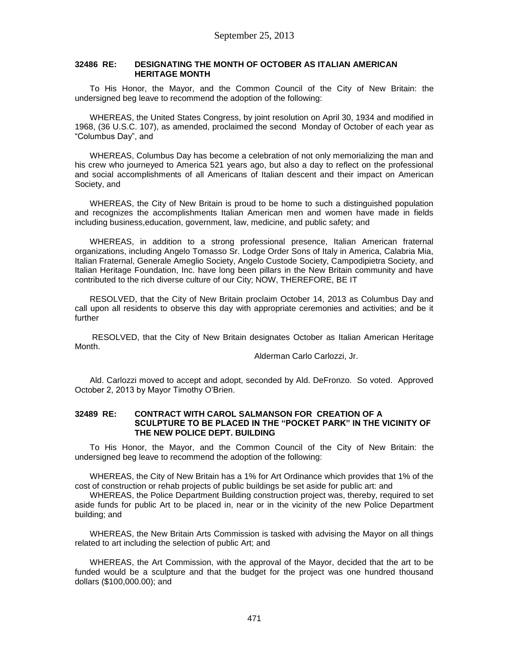### **32486 RE: DESIGNATING THE MONTH OF OCTOBER AS ITALIAN AMERICAN HERITAGE MONTH**

To His Honor, the Mayor, and the Common Council of the City of New Britain: the undersigned beg leave to recommend the adoption of the following:

WHEREAS, the United States Congress, by joint resolution on April 30, 1934 and modified in 1968, (36 U.S.C. 107), as amended, proclaimed the second Monday of October of each year as "Columbus Day", and

WHEREAS, Columbus Day has become a celebration of not only memorializing the man and his crew who journeyed to America 521 years ago, but also a day to reflect on the professional and social accomplishments of all Americans of Italian descent and their impact on American Society, and

WHEREAS, the City of New Britain is proud to be home to such a distinguished population and recognizes the accomplishments Italian American men and women have made in fields including business,education, government, law, medicine, and public safety; and

WHEREAS, in addition to a strong professional presence, Italian American fraternal organizations, including Angelo Tomasso Sr. Lodge Order Sons of Italy in America, Calabria Mia, Italian Fraternal, Generale Ameglio Society, Angelo Custode Society, Campodipietra Society, and Italian Heritage Foundation, Inc. have long been pillars in the New Britain community and have contributed to the rich diverse culture of our City; NOW, THEREFORE, BE IT

RESOLVED, that the City of New Britain proclaim October 14, 2013 as Columbus Day and call upon all residents to observe this day with appropriate ceremonies and activities; and be it further

RESOLVED, that the City of New Britain designates October as Italian American Heritage Month.

Alderman Carlo Carlozzi, Jr.

Ald. Carlozzi moved to accept and adopt, seconded by Ald. DeFronzo. So voted. Approved October 2, 2013 by Mayor Timothy O'Brien.

#### **32489 RE: CONTRACT WITH CAROL SALMANSON FOR CREATION OF A SCULPTURE TO BE PLACED IN THE "POCKET PARK" IN THE VICINITY OF THE NEW POLICE DEPT. BUILDING**

To His Honor, the Mayor, and the Common Council of the City of New Britain: the undersigned beg leave to recommend the adoption of the following:

WHEREAS, the City of New Britain has a 1% for Art Ordinance which provides that 1% of the cost of construction or rehab projects of public buildings be set aside for public art: and

WHEREAS, the Police Department Building construction project was, thereby, required to set aside funds for public Art to be placed in, near or in the vicinity of the new Police Department building; and

WHEREAS, the New Britain Arts Commission is tasked with advising the Mayor on all things related to art including the selection of public Art; and

WHEREAS, the Art Commission, with the approval of the Mayor, decided that the art to be funded would be a sculpture and that the budget for the project was one hundred thousand dollars (\$100,000.00); and